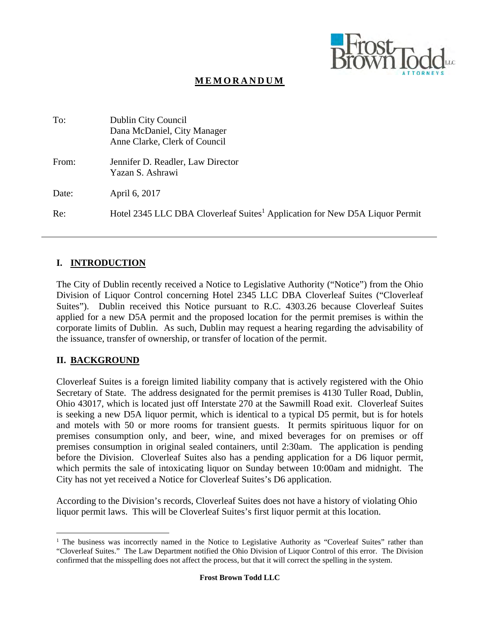

## **MEMORANDUM**

| To:   | Dublin City Council<br>Dana McDaniel, City Manager<br>Anne Clarke, Clerk of Council     |
|-------|-----------------------------------------------------------------------------------------|
| From: | Jennifer D. Readler, Law Director<br>Yazan S. Ashrawi                                   |
| Date: | April 6, 2017                                                                           |
| Re:   | Hotel 2345 LLC DBA Cloverleaf Suites <sup>1</sup> Application for New D5A Liquor Permit |

#### **I. INTRODUCTION**

The City of Dublin recently received a Notice to Legislative Authority ("Notice") from the Ohio Division of Liquor Control concerning Hotel 2345 LLC DBA Cloverleaf Suites ("Cloverleaf Suites"). Dublin received this Notice pursuant to R.C. 4303.26 because Cloverleaf Suites applied for a new D5A permit and the proposed location for the permit premises is within the corporate limits of Dublin. As such, Dublin may request a hearing regarding the advisability of the issuance, transfer of ownership, or transfer of location of the permit.

#### **II. BACKGROUND**

 $\overline{a}$ 

Cloverleaf Suites is a foreign limited liability company that is actively registered with the Ohio Secretary of State. The address designated for the permit premises is 4130 Tuller Road, Dublin, Ohio 43017, which is located just off Interstate 270 at the Sawmill Road exit. Cloverleaf Suites is seeking a new D5A liquor permit, which is identical to a typical D5 permit, but is for hotels and motels with 50 or more rooms for transient guests. It permits spirituous liquor for on premises consumption only, and beer, wine, and mixed beverages for on premises or off premises consumption in original sealed containers, until 2:30am. The application is pending before the Division. Cloverleaf Suites also has a pending application for a D6 liquor permit, which permits the sale of intoxicating liquor on Sunday between 10:00am and midnight. The City has not yet received a Notice for Cloverleaf Suites's D6 application.

According to the Division's records, Cloverleaf Suites does not have a history of violating Ohio liquor permit laws. This will be Cloverleaf Suites's first liquor permit at this location.

<sup>&</sup>lt;sup>1</sup> The business was incorrectly named in the Notice to Legislative Authority as "Coverleaf Suites" rather than "Cloverleaf Suites." The Law Department notified the Ohio Division of Liquor Control of this error. The Division confirmed that the misspelling does not affect the process, but that it will correct the spelling in the system.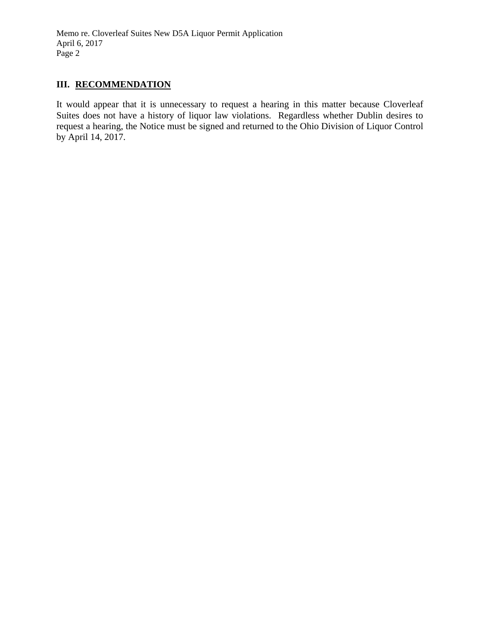Memo re. Cloverleaf Suites New D5A Liquor Permit Application April 6, 2017 Page 2

## III. RECOMMENDATION

It would appear that it is unnecessary to request a hearing in this matter because Cloverleaf Suites does not have a history of liquor law violations. Regardless whether Dublin desires to request a hearing, the Notice must be signed and returned to the Ohio Division of Liquor Control by April 14, 2017.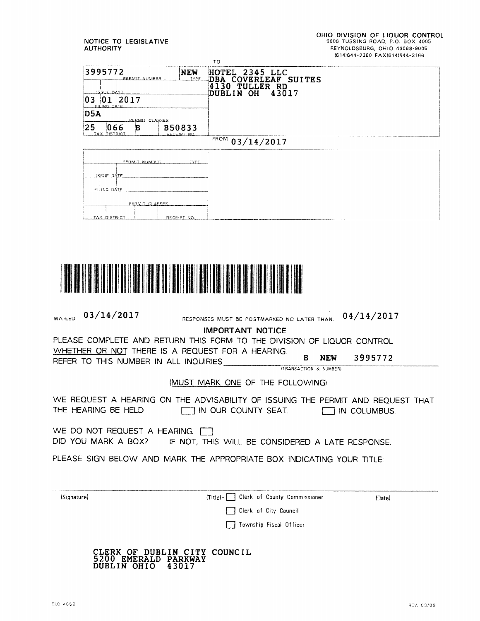NOTICE TO LEGISLATIVE **AUTHORITY** 





| MAILED                                                                                                                                                                                                                        | 03/14/2017                                                                                                                                            | RESPONSES MUST BE POSTMARKED NO LATER THAN.                           |                              |  | 04/14/2017 |  |
|-------------------------------------------------------------------------------------------------------------------------------------------------------------------------------------------------------------------------------|-------------------------------------------------------------------------------------------------------------------------------------------------------|-----------------------------------------------------------------------|------------------------------|--|------------|--|
| <b>IMPORTANT NOTICE</b><br>PLEASE COMPLETE AND RETURN THIS FORM TO THE DIVISION OF LIQUOR CONTROL<br>WHETHER OR NOT THERE IS A REQUEST FOR A HEARING.<br><b>NEW</b><br>3995772<br>B.<br>REFER TO THIS NUMBER IN ALL INQUIRIES |                                                                                                                                                       |                                                                       |                              |  |            |  |
|                                                                                                                                                                                                                               |                                                                                                                                                       |                                                                       | (TRANSACTION & NUMBER)       |  |            |  |
|                                                                                                                                                                                                                               |                                                                                                                                                       | (MUST MARK ONE OF THE FOLLOWING)                                      |                              |  |            |  |
|                                                                                                                                                                                                                               | WE REQUEST A HEARING ON THE ADVISABILITY OF ISSUING THE PERMIT AND REQUEST THAT<br>THE HEARING BE HELD <b>THE HEARING BE HELD</b> IN OUR COUNTY SEAT. |                                                                       |                              |  |            |  |
| WE DO NOT REQUEST A HEARING.<br>DID YOU MARK A BOX? IF NOT, THIS WILL BE CONSIDERED A LATE RESPONSE.                                                                                                                          |                                                                                                                                                       |                                                                       |                              |  |            |  |
|                                                                                                                                                                                                                               |                                                                                                                                                       | PLEASE SIGN BELOW AND MARK THE APPROPRIATE BOX INDICATING YOUR TITLE: |                              |  |            |  |
| (Signature)                                                                                                                                                                                                                   |                                                                                                                                                       | $(Title) - 1$                                                         | Clerk of County Commissioner |  | (Date)     |  |
|                                                                                                                                                                                                                               |                                                                                                                                                       | Clerk of City Council                                                 |                              |  |            |  |
|                                                                                                                                                                                                                               |                                                                                                                                                       | Township Fiscal Officer                                               |                              |  |            |  |
|                                                                                                                                                                                                                               | 5200 EMERALD PARKWAY<br>DUBLIN OHIO                                                                                                                   | CLERK OF DUBLIN CITY COUNCIL<br>43017                                 |                              |  |            |  |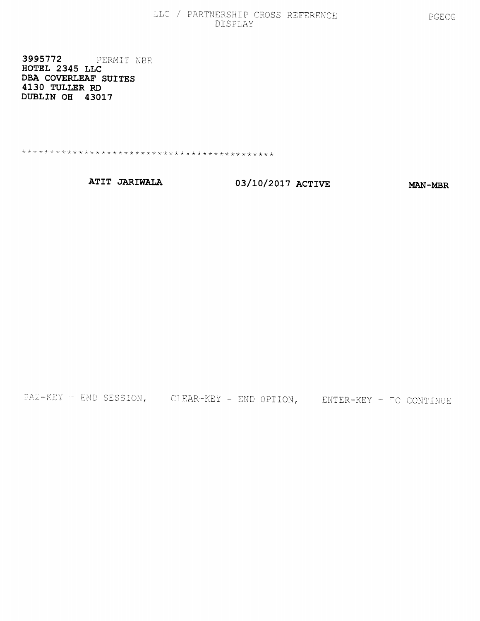#### LLC / PARTNERSHIP CROSS REFERENCE DISPLAY

3995772 PERMIT NBR HOTEL 2345 LLC DBA COVERLEAF SUITES 4130 TULLER RD DUBLIN OH 43017

ATIT JARIWALA

03/10/2017 ACTIVE

**MAN-MBR** 

 $P_{A2-KEY}$  = END SESSION, CLEAR-KEY = END OPTION, ENTER-KEY = TO CONTINUE

 $\sim 10^{11}$  km  $^{-1}$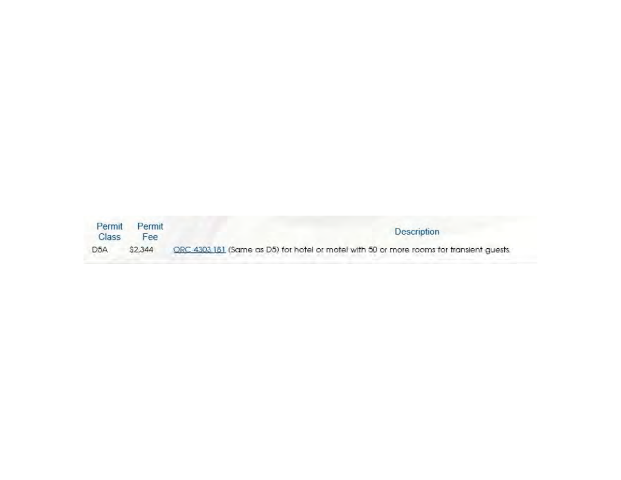| Permit           | Permit     | <b>Description</b>                                                                       |  |  |
|------------------|------------|------------------------------------------------------------------------------------------|--|--|
| Class            | <b>Hee</b> |                                                                                          |  |  |
| D <sub>5</sub> A | \$2,344    | ORC 4303 181 (Same as D5) for hotel or motel with 50 or more rooms for transient guests. |  |  |
|                  |            |                                                                                          |  |  |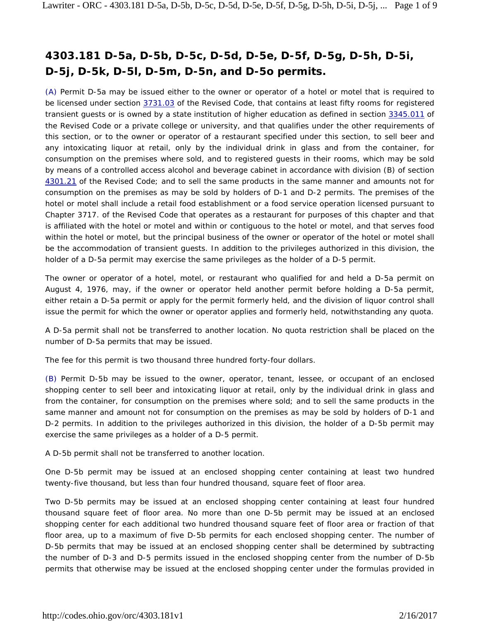# **4303.181 D-5a, D-5b, D-5c, D-5d, D-5e, D-5f, D-5g, D-5h, D-5i, D-5j, D-5k, D-5l, D-5m, D-5n, and D-5o permits.**

(A) Permit D-5a may be issued either to the owner or operator of a hotel or motel that is required to be licensed under section 3731.03 of the Revised Code, that contains at least fifty rooms for registered transient guests or is owned by a state institution of higher education as defined in section 3345.011 of the Revised Code or a private college or university, and that qualifies under the other requirements of this section, or to the owner or operator of a restaurant specified under this section, to sell beer and any intoxicating liquor at retail, only by the individual drink in glass and from the container, for consumption on the premises where sold, and to registered guests in their rooms, which may be sold by means of a controlled access alcohol and beverage cabinet in accordance with division (B) of section 4301.21 of the Revised Code; and to sell the same products in the same manner and amounts not for consumption on the premises as may be sold by holders of D-1 and D-2 permits. The premises of the hotel or motel shall include a retail food establishment or a food service operation licensed pursuant to Chapter 3717. of the Revised Code that operates as a restaurant for purposes of this chapter and that is affiliated with the hotel or motel and within or contiguous to the hotel or motel, and that serves food within the hotel or motel, but the principal business of the owner or operator of the hotel or motel shall be the accommodation of transient guests. In addition to the privileges authorized in this division, the holder of a D-5a permit may exercise the same privileges as the holder of a D-5 permit.

The owner or operator of a hotel, motel, or restaurant who qualified for and held a D-5a permit on August 4, 1976, may, if the owner or operator held another permit before holding a D-5a permit, either retain a D-5a permit or apply for the permit formerly held, and the division of liquor control shall issue the permit for which the owner or operator applies and formerly held, notwithstanding any quota.

A D-5a permit shall not be transferred to another location. No quota restriction shall be placed on the number of D-5a permits that may be issued.

The fee for this permit is two thousand three hundred forty-four dollars.

(B) Permit D-5b may be issued to the owner, operator, tenant, lessee, or occupant of an enclosed shopping center to sell beer and intoxicating liquor at retail, only by the individual drink in glass and from the container, for consumption on the premises where sold; and to sell the same products in the same manner and amount not for consumption on the premises as may be sold by holders of D-1 and D-2 permits. In addition to the privileges authorized in this division, the holder of a D-5b permit may exercise the same privileges as a holder of a D-5 permit.

A D-5b permit shall not be transferred to another location.

One D-5b permit may be issued at an enclosed shopping center containing at least two hundred twenty-five thousand, but less than four hundred thousand, square feet of floor area.

Two D-5b permits may be issued at an enclosed shopping center containing at least four hundred thousand square feet of floor area. No more than one D-5b permit may be issued at an enclosed shopping center for each additional two hundred thousand square feet of floor area or fraction of that floor area, up to a maximum of five D-5b permits for each enclosed shopping center. The number of D-5b permits that may be issued at an enclosed shopping center shall be determined by subtracting the number of D-3 and D-5 permits issued in the enclosed shopping center from the number of D-5b permits that otherwise may be issued at the enclosed shopping center under the formulas provided in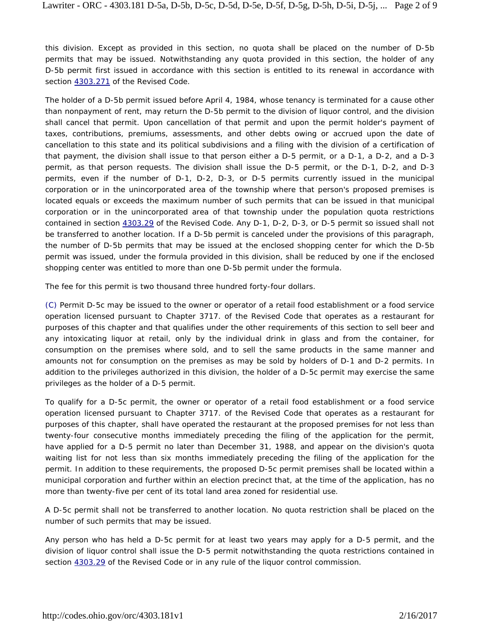this division. Except as provided in this section, no quota shall be placed on the number of D-5b permits that may be issued. Notwithstanding any quota provided in this section, the holder of any D-5b permit first issued in accordance with this section is entitled to its renewal in accordance with section  $4303.271$  of the Revised Code.

The holder of a D-5b permit issued before April 4, 1984, whose tenancy is terminated for a cause other than nonpayment of rent, may return the D-5b permit to the division of liquor control, and the division shall cancel that permit. Upon cancellation of that permit and upon the permit holder's payment of taxes, contributions, premiums, assessments, and other debts owing or accrued upon the date of cancellation to this state and its political subdivisions and a filing with the division of a certification of that payment, the division shall issue to that person either a D-5 permit, or a D-1, a D-2, and a D-3 permit, as that person requests. The division shall issue the D-5 permit, or the D-1, D-2, and D-3 permits, even if the number of D-1, D-2, D-3, or D-5 permits currently issued in the municipal corporation or in the unincorporated area of the township where that person's proposed premises is located equals or exceeds the maximum number of such permits that can be issued in that municipal corporation or in the unincorporated area of that township under the population quota restrictions contained in section 4303.29 of the Revised Code. Any D-1, D-2, D-3, or D-5 permit so issued shall not be transferred to another location. If a D-5b permit is canceled under the provisions of this paragraph, the number of D-5b permits that may be issued at the enclosed shopping center for which the D-5b permit was issued, under the formula provided in this division, shall be reduced by one if the enclosed shopping center was entitled to more than one D-5b permit under the formula.

The fee for this permit is two thousand three hundred forty-four dollars.

(C) Permit D-5c may be issued to the owner or operator of a retail food establishment or a food service operation licensed pursuant to Chapter 3717. of the Revised Code that operates as a restaurant for purposes of this chapter and that qualifies under the other requirements of this section to sell beer and any intoxicating liquor at retail, only by the individual drink in glass and from the container, for consumption on the premises where sold, and to sell the same products in the same manner and amounts not for consumption on the premises as may be sold by holders of D-1 and D-2 permits. In addition to the privileges authorized in this division, the holder of a D-5c permit may exercise the same privileges as the holder of a D-5 permit.

To qualify for a D-5c permit, the owner or operator of a retail food establishment or a food service operation licensed pursuant to Chapter 3717. of the Revised Code that operates as a restaurant for purposes of this chapter, shall have operated the restaurant at the proposed premises for not less than twenty-four consecutive months immediately preceding the filing of the application for the permit, have applied for a D-5 permit no later than December 31, 1988, and appear on the division's quota waiting list for not less than six months immediately preceding the filing of the application for the permit. In addition to these requirements, the proposed D-5c permit premises shall be located within a municipal corporation and further within an election precinct that, at the time of the application, has no more than twenty-five per cent of its total land area zoned for residential use.

A D-5c permit shall not be transferred to another location. No quota restriction shall be placed on the number of such permits that may be issued.

Any person who has held a D-5c permit for at least two years may apply for a D-5 permit, and the division of liquor control shall issue the D-5 permit notwithstanding the quota restrictions contained in section 4303.29 of the Revised Code or in any rule of the liquor control commission.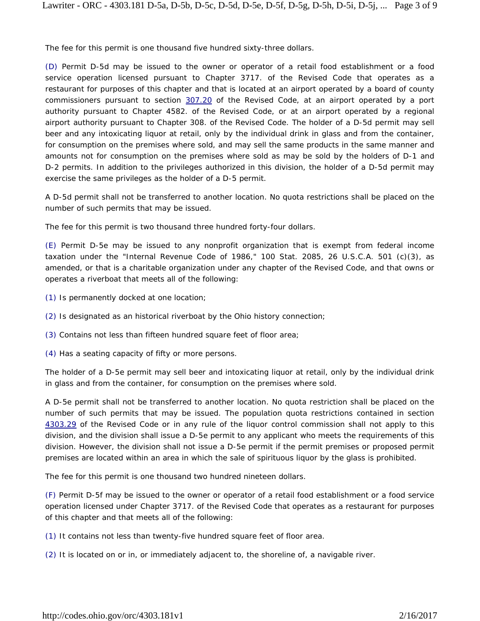The fee for this permit is one thousand five hundred sixty-three dollars.

(D) Permit D-5d may be issued to the owner or operator of a retail food establishment or a food service operation licensed pursuant to Chapter 3717. of the Revised Code that operates as a restaurant for purposes of this chapter and that is located at an airport operated by a board of county commissioners pursuant to section 307.20 of the Revised Code, at an airport operated by a port authority pursuant to Chapter 4582. of the Revised Code, or at an airport operated by a regional airport authority pursuant to Chapter 308. of the Revised Code. The holder of a D-5d permit may sell beer and any intoxicating liquor at retail, only by the individual drink in glass and from the container, for consumption on the premises where sold, and may sell the same products in the same manner and amounts not for consumption on the premises where sold as may be sold by the holders of D-1 and D-2 permits. In addition to the privileges authorized in this division, the holder of a D-5d permit may exercise the same privileges as the holder of a D-5 permit.

A D-5d permit shall not be transferred to another location. No quota restrictions shall be placed on the number of such permits that may be issued.

The fee for this permit is two thousand three hundred forty-four dollars.

(E) Permit D-5e may be issued to any nonprofit organization that is exempt from federal income taxation under the "Internal Revenue Code of 1986," 100 Stat. 2085, 26 U.S.C.A. 501 (c)(3), as amended, or that is a charitable organization under any chapter of the Revised Code, and that owns or operates a riverboat that meets all of the following:

- (1) Is permanently docked at one location;
- (2) Is designated as an historical riverboat by the Ohio history connection;
- (3) Contains not less than fifteen hundred square feet of floor area;
- (4) Has a seating capacity of fifty or more persons.

The holder of a D-5e permit may sell beer and intoxicating liquor at retail, only by the individual drink in glass and from the container, for consumption on the premises where sold.

A D-5e permit shall not be transferred to another location. No quota restriction shall be placed on the number of such permits that may be issued. The population quota restrictions contained in section 4303.29 of the Revised Code or in any rule of the liquor control commission shall not apply to this division, and the division shall issue a D-5e permit to any applicant who meets the requirements of this division. However, the division shall not issue a D-5e permit if the permit premises or proposed permit premises are located within an area in which the sale of spirituous liquor by the glass is prohibited.

The fee for this permit is one thousand two hundred nineteen dollars.

(F) Permit D-5f may be issued to the owner or operator of a retail food establishment or a food service operation licensed under Chapter 3717. of the Revised Code that operates as a restaurant for purposes of this chapter and that meets all of the following:

(1) It contains not less than twenty-five hundred square feet of floor area.

(2) It is located on or in, or immediately adjacent to, the shoreline of, a navigable river.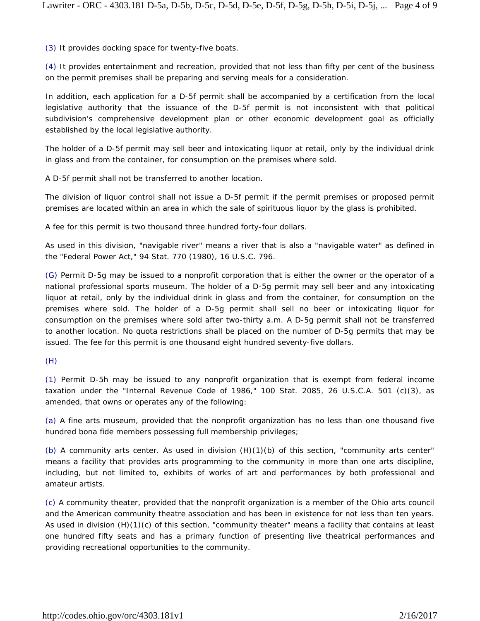(3) It provides docking space for twenty-five boats.

(4) It provides entertainment and recreation, provided that not less than fifty per cent of the business on the permit premises shall be preparing and serving meals for a consideration.

In addition, each application for a D-5f permit shall be accompanied by a certification from the local legislative authority that the issuance of the D-5f permit is not inconsistent with that political subdivision's comprehensive development plan or other economic development goal as officially established by the local legislative authority.

The holder of a D-5f permit may sell beer and intoxicating liquor at retail, only by the individual drink in glass and from the container, for consumption on the premises where sold.

A D-5f permit shall not be transferred to another location.

The division of liquor control shall not issue a D-5f permit if the permit premises or proposed permit premises are located within an area in which the sale of spirituous liquor by the glass is prohibited.

A fee for this permit is two thousand three hundred forty-four dollars.

As used in this division, "navigable river" means a river that is also a "navigable water" as defined in the "Federal Power Act," 94 Stat. 770 (1980), 16 U.S.C. 796.

(G) Permit D-5g may be issued to a nonprofit corporation that is either the owner or the operator of a national professional sports museum. The holder of a D-5g permit may sell beer and any intoxicating liquor at retail, only by the individual drink in glass and from the container, for consumption on the premises where sold. The holder of a D-5g permit shall sell no beer or intoxicating liquor for consumption on the premises where sold after two-thirty a.m. A D-5g permit shall not be transferred to another location. No quota restrictions shall be placed on the number of D-5g permits that may be issued. The fee for this permit is one thousand eight hundred seventy-five dollars.

(H)

(1) Permit D-5h may be issued to any nonprofit organization that is exempt from federal income taxation under the "Internal Revenue Code of 1986," 100 Stat. 2085, 26 U.S.C.A. 501 (c)(3), as amended, that owns or operates any of the following:

(a) A fine arts museum, provided that the nonprofit organization has no less than one thousand five hundred bona fide members possessing full membership privileges;

(b) A community arts center. As used in division (H)(1)(b) of this section, "community arts center" means a facility that provides arts programming to the community in more than one arts discipline, including, but not limited to, exhibits of works of art and performances by both professional and amateur artists.

(c) A community theater, provided that the nonprofit organization is a member of the Ohio arts council and the American community theatre association and has been in existence for not less than ten years. As used in division (H)(1)(c) of this section, "community theater" means a facility that contains at least one hundred fifty seats and has a primary function of presenting live theatrical performances and providing recreational opportunities to the community.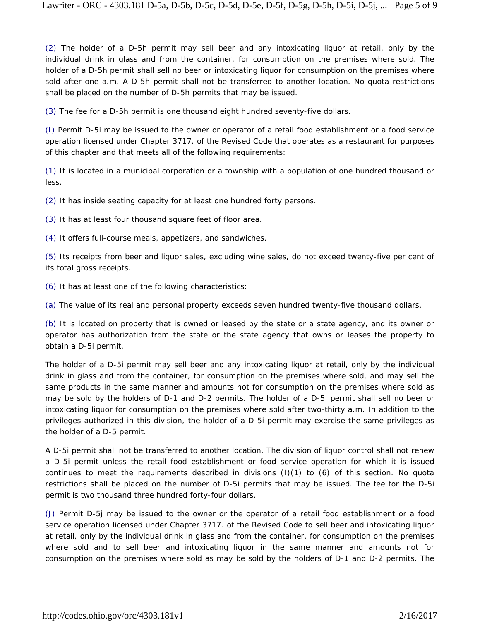(2) The holder of a D-5h permit may sell beer and any intoxicating liquor at retail, only by the individual drink in glass and from the container, for consumption on the premises where sold. The holder of a D-5h permit shall sell no beer or intoxicating liquor for consumption on the premises where sold after one a.m. A D-5h permit shall not be transferred to another location. No quota restrictions shall be placed on the number of D-5h permits that may be issued.

(3) The fee for a D-5h permit is one thousand eight hundred seventy-five dollars.

(I) Permit D-5i may be issued to the owner or operator of a retail food establishment or a food service operation licensed under Chapter 3717. of the Revised Code that operates as a restaurant for purposes of this chapter and that meets all of the following requirements:

(1) It is located in a municipal corporation or a township with a population of one hundred thousand or less.

(2) It has inside seating capacity for at least one hundred forty persons.

(3) It has at least four thousand square feet of floor area.

(4) It offers full-course meals, appetizers, and sandwiches.

(5) Its receipts from beer and liquor sales, excluding wine sales, do not exceed twenty-five per cent of its total gross receipts.

(6) It has at least one of the following characteristics:

(a) The value of its real and personal property exceeds seven hundred twenty-five thousand dollars.

(b) It is located on property that is owned or leased by the state or a state agency, and its owner or operator has authorization from the state or the state agency that owns or leases the property to obtain a D-5i permit.

The holder of a D-5i permit may sell beer and any intoxicating liquor at retail, only by the individual drink in glass and from the container, for consumption on the premises where sold, and may sell the same products in the same manner and amounts not for consumption on the premises where sold as may be sold by the holders of D-1 and D-2 permits. The holder of a D-5i permit shall sell no beer or intoxicating liquor for consumption on the premises where sold after two-thirty a.m. In addition to the privileges authorized in this division, the holder of a D-5i permit may exercise the same privileges as the holder of a D-5 permit.

A D-5i permit shall not be transferred to another location. The division of liquor control shall not renew a D-5i permit unless the retail food establishment or food service operation for which it is issued continues to meet the requirements described in divisions (I)(1) to (6) of this section. No quota restrictions shall be placed on the number of D-5i permits that may be issued. The fee for the D-5i permit is two thousand three hundred forty-four dollars.

(J) Permit D-5j may be issued to the owner or the operator of a retail food establishment or a food service operation licensed under Chapter 3717. of the Revised Code to sell beer and intoxicating liquor at retail, only by the individual drink in glass and from the container, for consumption on the premises where sold and to sell beer and intoxicating liquor in the same manner and amounts not for consumption on the premises where sold as may be sold by the holders of D-1 and D-2 permits. The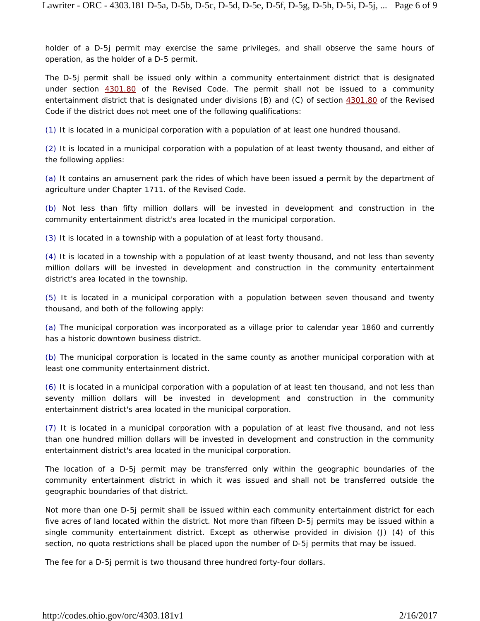holder of a D-5j permit may exercise the same privileges, and shall observe the same hours of operation, as the holder of a D-5 permit.

The D-5j permit shall be issued only within a community entertainment district that is designated under section 4301.80 of the Revised Code. The permit shall not be issued to a community entertainment district that is designated under divisions (B) and (C) of section 4301.80 of the Revised Code if the district does not meet one of the following qualifications:

(1) It is located in a municipal corporation with a population of at least one hundred thousand.

(2) It is located in a municipal corporation with a population of at least twenty thousand, and either of the following applies:

(a) It contains an amusement park the rides of which have been issued a permit by the department of agriculture under Chapter 1711. of the Revised Code.

(b) Not less than fifty million dollars will be invested in development and construction in the community entertainment district's area located in the municipal corporation.

(3) It is located in a township with a population of at least forty thousand.

(4) It is located in a township with a population of at least twenty thousand, and not less than seventy million dollars will be invested in development and construction in the community entertainment district's area located in the township.

(5) It is located in a municipal corporation with a population between seven thousand and twenty thousand, and both of the following apply:

(a) The municipal corporation was incorporated as a village prior to calendar year 1860 and currently has a historic downtown business district.

(b) The municipal corporation is located in the same county as another municipal corporation with at least one community entertainment district.

(6) It is located in a municipal corporation with a population of at least ten thousand, and not less than seventy million dollars will be invested in development and construction in the community entertainment district's area located in the municipal corporation.

(7) It is located in a municipal corporation with a population of at least five thousand, and not less than one hundred million dollars will be invested in development and construction in the community entertainment district's area located in the municipal corporation.

The location of a D-5j permit may be transferred only within the geographic boundaries of the community entertainment district in which it was issued and shall not be transferred outside the geographic boundaries of that district.

Not more than one D-5j permit shall be issued within each community entertainment district for each five acres of land located within the district. Not more than fifteen D-5j permits may be issued within a single community entertainment district. Except as otherwise provided in division (J) (4) of this section, no quota restrictions shall be placed upon the number of D-5j permits that may be issued.

The fee for a D-5j permit is two thousand three hundred forty-four dollars.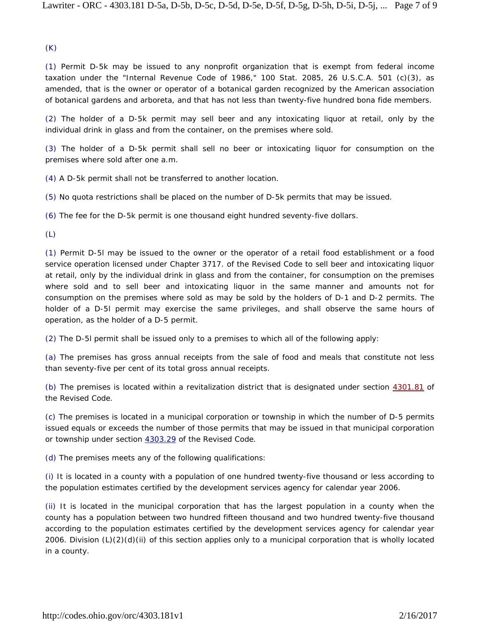(K)

(1) Permit D-5k may be issued to any nonprofit organization that is exempt from federal income taxation under the "Internal Revenue Code of 1986," 100 Stat. 2085, 26 U.S.C.A. 501 (c)(3), as amended, that is the owner or operator of a botanical garden recognized by the American association of botanical gardens and arboreta, and that has not less than twenty-five hundred bona fide members.

(2) The holder of a D-5k permit may sell beer and any intoxicating liquor at retail, only by the individual drink in glass and from the container, on the premises where sold.

(3) The holder of a D-5k permit shall sell no beer or intoxicating liquor for consumption on the premises where sold after one a.m.

(4) A D-5k permit shall not be transferred to another location.

(5) No quota restrictions shall be placed on the number of D-5k permits that may be issued.

(6) The fee for the D-5k permit is one thousand eight hundred seventy-five dollars.

(L)

(1) Permit D-5l may be issued to the owner or the operator of a retail food establishment or a food service operation licensed under Chapter 3717. of the Revised Code to sell beer and intoxicating liquor at retail, only by the individual drink in glass and from the container, for consumption on the premises where sold and to sell beer and intoxicating liquor in the same manner and amounts not for consumption on the premises where sold as may be sold by the holders of D-1 and D-2 permits. The holder of a D-5l permit may exercise the same privileges, and shall observe the same hours of operation, as the holder of a D-5 permit.

(2) The D-5l permit shall be issued only to a premises to which all of the following apply:

(a) The premises has gross annual receipts from the sale of food and meals that constitute not less than seventy-five per cent of its total gross annual receipts.

(b) The premises is located within a revitalization district that is designated under section 4301.81 of the Revised Code.

(c) The premises is located in a municipal corporation or township in which the number of D-5 permits issued equals or exceeds the number of those permits that may be issued in that municipal corporation or township under section 4303.29 of the Revised Code.

(d) The premises meets any of the following qualifications:

(i) It is located in a county with a population of one hundred twenty-five thousand or less according to the population estimates certified by the development services agency for calendar year 2006.

(ii) It is located in the municipal corporation that has the largest population in a county when the county has a population between two hundred fifteen thousand and two hundred twenty-five thousand according to the population estimates certified by the development services agency for calendar year 2006. Division (L)(2)(d)(ii) of this section applies only to a municipal corporation that is wholly located in a county.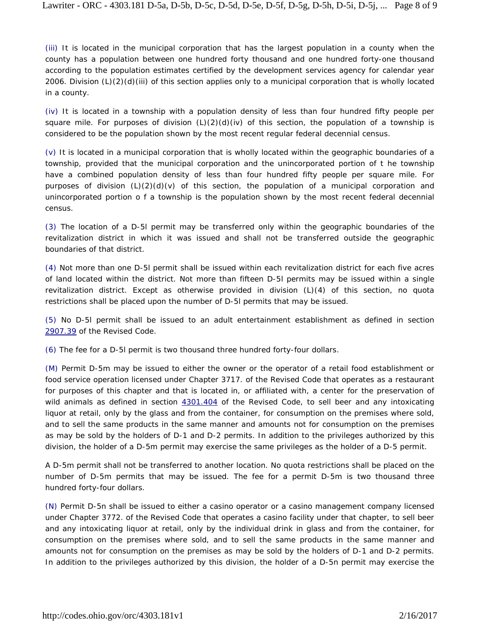(iii) It is located in the municipal corporation that has the largest population in a county when the county has a population between one hundred forty thousand and one hundred forty-one thousand according to the population estimates certified by the development services agency for calendar year 2006. Division (L)(2)(d)(iii) of this section applies only to a municipal corporation that is wholly located in a county.

(iv) It is located in a township with a population density of less than four hundred fifty people per square mile. For purposes of division  $(L)(2)(d)(iv)$  of this section, the population of a township is considered to be the population shown by the most recent regular federal decennial census.

(v) It is located in a municipal corporation that is wholly located within the geographic boundaries of a township, provided that the municipal corporation and the unincorporated portion of t he township have a combined population density of less than four hundred fifty people per square mile. For purposes of division  $(L)(2)(d)(v)$  of this section, the population of a municipal corporation and unincorporated portion o f a township is the population shown by the most recent federal decennial census.

(3) The location of a D-5l permit may be transferred only within the geographic boundaries of the revitalization district in which it was issued and shall not be transferred outside the geographic boundaries of that district.

(4) Not more than one D-5l permit shall be issued within each revitalization district for each five acres of land located within the district. Not more than fifteen D-5l permits may be issued within a single revitalization district. Except as otherwise provided in division (L)(4) of this section, no quota restrictions shall be placed upon the number of D-5l permits that may be issued.

(5) No D-5l permit shall be issued to an adult entertainment establishment as defined in section 2907.39 of the Revised Code.

(6) The fee for a D-5l permit is two thousand three hundred forty-four dollars.

(M) Permit D-5m may be issued to either the owner or the operator of a retail food establishment or food service operation licensed under Chapter 3717. of the Revised Code that operates as a restaurant for purposes of this chapter and that is located in, or affiliated with, a center for the preservation of wild animals as defined in section 4301.404 of the Revised Code, to sell beer and any intoxicating liquor at retail, only by the glass and from the container, for consumption on the premises where sold, and to sell the same products in the same manner and amounts not for consumption on the premises as may be sold by the holders of D-1 and D-2 permits. In addition to the privileges authorized by this division, the holder of a D-5m permit may exercise the same privileges as the holder of a D-5 permit.

A D-5m permit shall not be transferred to another location. No quota restrictions shall be placed on the number of D-5m permits that may be issued. The fee for a permit D-5m is two thousand three hundred forty-four dollars.

(N) Permit D-5n shall be issued to either a casino operator or a casino management company licensed under Chapter 3772. of the Revised Code that operates a casino facility under that chapter, to sell beer and any intoxicating liquor at retail, only by the individual drink in glass and from the container, for consumption on the premises where sold, and to sell the same products in the same manner and amounts not for consumption on the premises as may be sold by the holders of D-1 and D-2 permits. In addition to the privileges authorized by this division, the holder of a D-5n permit may exercise the